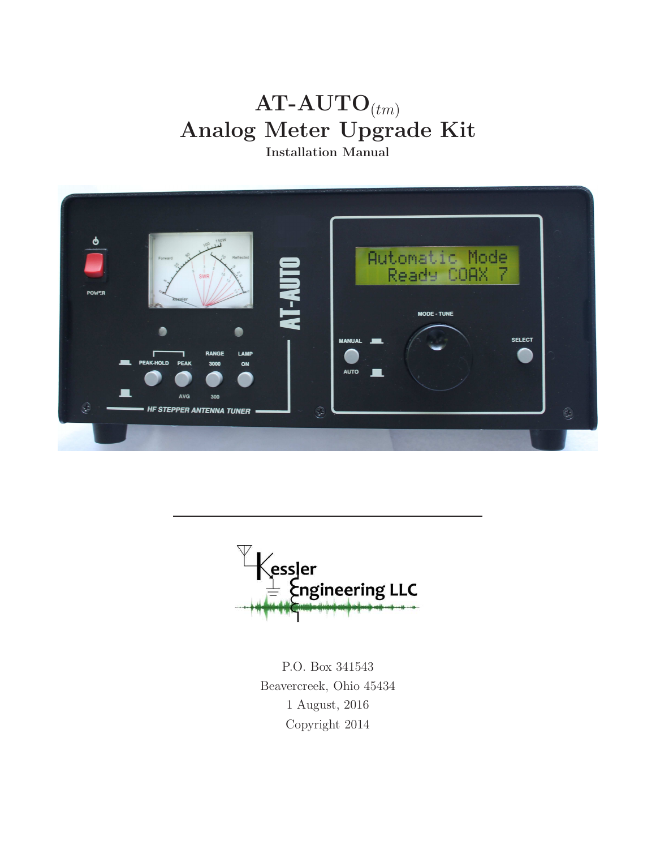# $AT-AUTO_{(tm)}$ Analog Meter Upgrade Kit

Installation Manual



 $\begin{array}{l} \biggl\langle \mathsf{essler} \\ \biggl\rangle = \biggl\langle \mathsf{engineering}\ \mathsf{LLC} \end{array}$ 

P.O. Box 341543 Beavercreek, Ohio 45434 1 August, 2016 Copyright 2014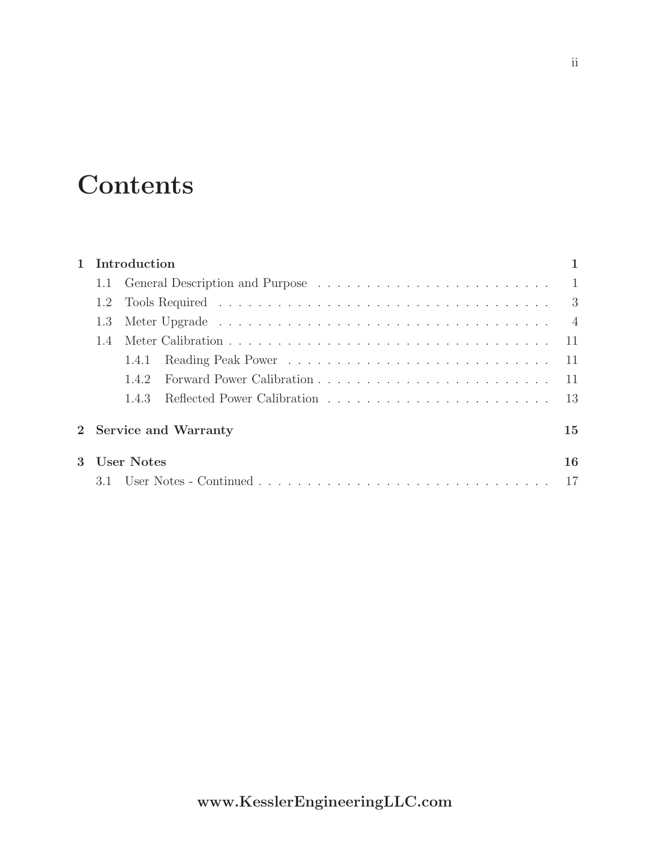# **Contents**

| 1 Introduction         |              |    |  |  |  |  |  |
|------------------------|--------------|----|--|--|--|--|--|
|                        |              |    |  |  |  |  |  |
|                        |              |    |  |  |  |  |  |
|                        |              |    |  |  |  |  |  |
| 1.4                    |              |    |  |  |  |  |  |
|                        | 1.4.1        |    |  |  |  |  |  |
|                        | 1.4.2        |    |  |  |  |  |  |
|                        | 143          |    |  |  |  |  |  |
| 2 Service and Warranty |              |    |  |  |  |  |  |
|                        | 3 User Notes | 16 |  |  |  |  |  |
|                        |              |    |  |  |  |  |  |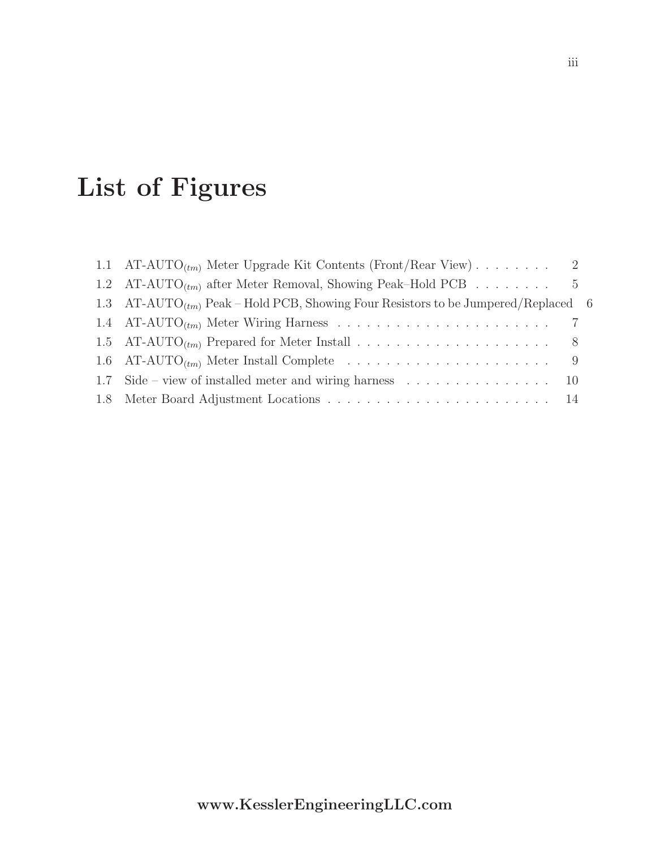# List of Figures

| 1.1 AT-AUTO <sub>(tm)</sub> Meter Upgrade Kit Contents (Front/Rear View) 2                                 |  |
|------------------------------------------------------------------------------------------------------------|--|
| 1.2 AT-AUTO <sub>(tm)</sub> after Meter Removal, Showing Peak–Hold PCB 5                                   |  |
| 1.3 AT-AUTO <sub><math>(tm)</math></sub> Peak – Hold PCB, Showing Four Resistors to be Jumpered/Replaced 6 |  |
|                                                                                                            |  |
|                                                                                                            |  |
|                                                                                                            |  |
| 1.7 Side – view of installed meter and wiring harness $\dots \dots \dots \dots \dots \dots \dots \dots$    |  |
|                                                                                                            |  |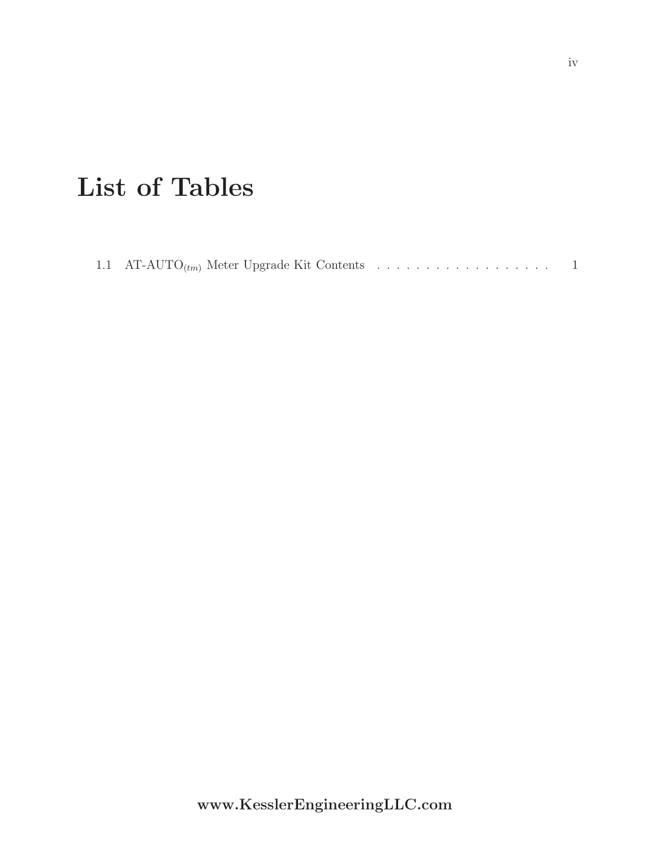# List of Tables

|--|--|--|--|--|--|--|--|--|--|--|--|--|--|--|--|--|--|--|--|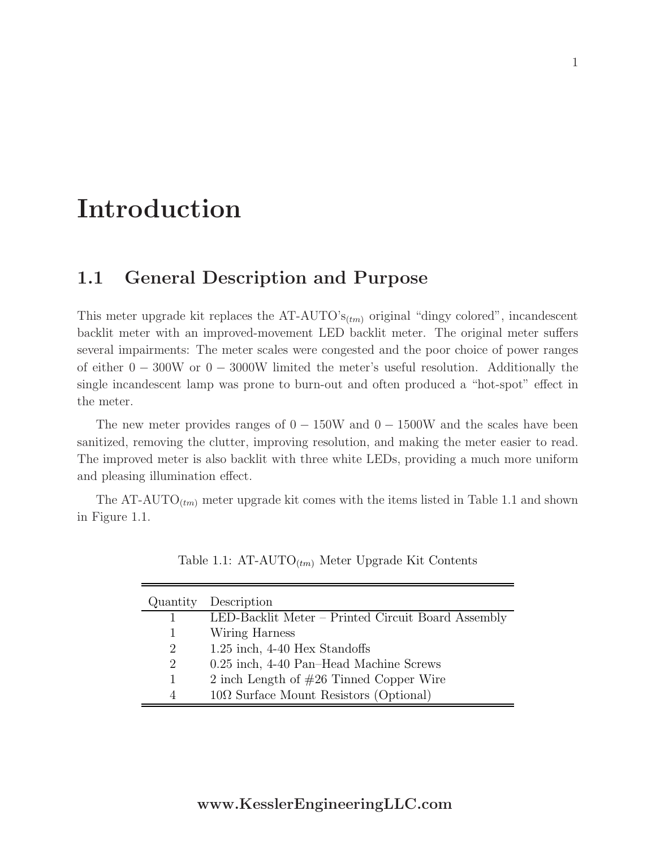# Introduction

### 1.1 General Description and Purpose

This meter upgrade kit replaces the AT-AUTO' $s_{(tm)}$  original "dingy colored", incandescent backlit meter with an improved-movement LED backlit meter. The original meter suffers several impairments: The meter scales were congested and the poor choice of power ranges of either  $0 - 300W$  or  $0 - 3000W$  limited the meter's useful resolution. Additionally the single incandescent lamp was prone to burn-out and often produced a "hot-spot" effect in the meter.

The new meter provides ranges of  $0 - 150W$  and  $0 - 1500W$  and the scales have been sanitized, removing the clutter, improving resolution, and making the meter easier to read. The improved meter is also backlit with three white LEDs, providing a much more uniform and pleasing illumination effect.

The AT-AUTO<sub> $(tm)$ </sub> meter upgrade kit comes with the items listed in Table 1.1 and shown in Figure 1.1.

| Quantity       | Description                                        |
|----------------|----------------------------------------------------|
|                | LED-Backlit Meter – Printed Circuit Board Assembly |
|                | Wiring Harness                                     |
| 2              | 1.25 inch, 4-40 Hex Standoffs                      |
| $\overline{2}$ | 0.25 inch, 4-40 Pan-Head Machine Screws            |
|                | 2 inch Length of $#26$ Tinned Copper Wire          |
|                | $10\Omega$ Surface Mount Resistors (Optional)      |

Table 1.1:  $AT-AUTO_{(tm)}$  Meter Upgrade Kit Contents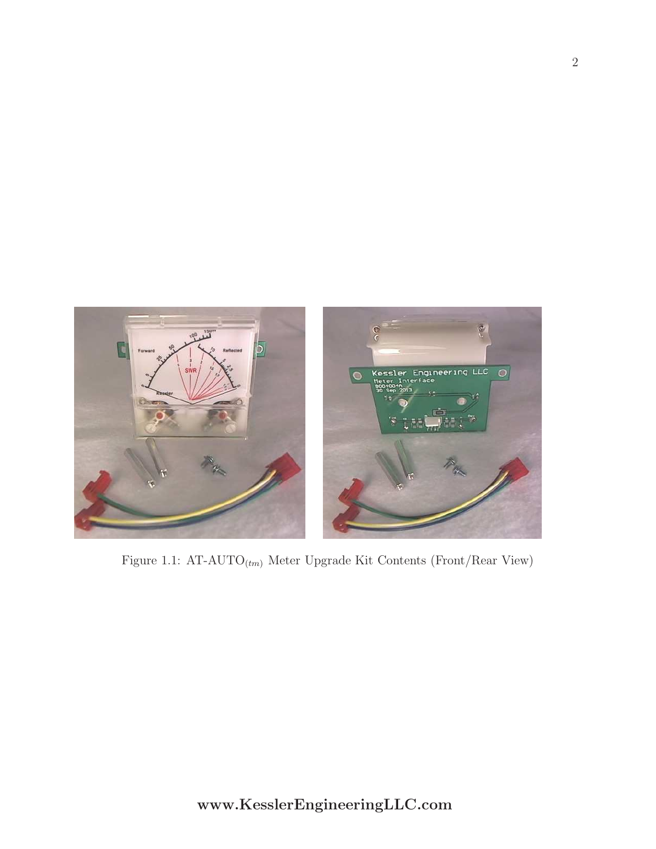

Figure 1.1: AT-AUTO $_{(tm)}$  Meter Upgrade Kit Contents (Front/Rear View)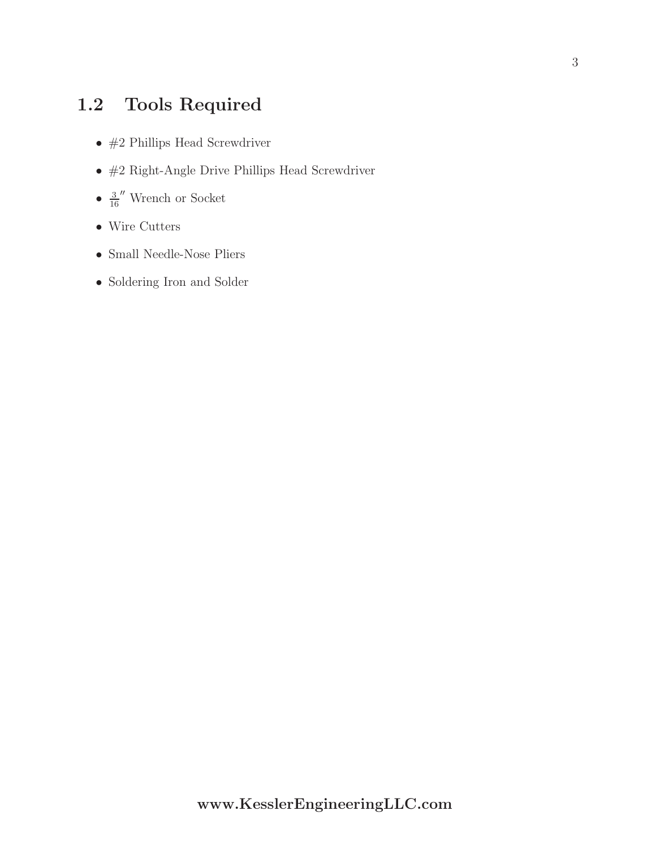## 1.2 Tools Required

- $\bullet\;$ #2 Phillips Head Screwdriver
- $\bullet\;$ #2 Right-Angle Drive Phillips Head Screwdriver
- $\bullet$   $\frac{3}{2}$  $\frac{3}{16}$ " Wrench or Socket
- Wire Cutters
- Small Needle-Nose Pliers
- Soldering Iron and Solder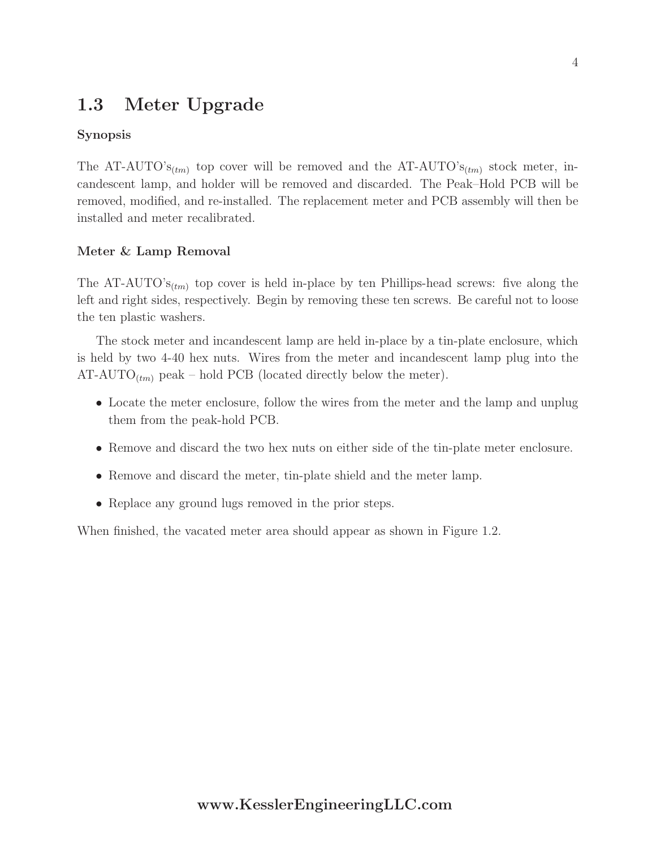### 1.3 Meter Upgrade

#### Synopsis

The AT-AUTO's<sub>(tm)</sub> top cover will be removed and the AT-AUTO's<sub>(tm)</sub> stock meter, incandescent lamp, and holder will be removed and discarded. The Peak–Hold PCB will be removed, modified, and re-installed. The replacement meter and PCB assembly will then be installed and meter recalibrated.

#### Meter & Lamp Removal

The AT-AUTO' $s_{(tm)}$  top cover is held in-place by ten Phillips-head screws: five along the left and right sides, respectively. Begin by removing these ten screws. Be careful not to loose the ten plastic washers.

The stock meter and incandescent lamp are held in-place by a tin-plate enclosure, which is held by two 4-40 hex nuts. Wires from the meter and incandescent lamp plug into the  $AT-AUTO_{(tm)}$  peak – hold PCB (located directly below the meter).

- Locate the meter enclosure, follow the wires from the meter and the lamp and unplug them from the peak-hold PCB.
- Remove and discard the two hex nuts on either side of the tin-plate meter enclosure.
- Remove and discard the meter, tin-plate shield and the meter lamp.
- Replace any ground lugs removed in the prior steps.

When finished, the vacated meter area should appear as shown in Figure 1.2.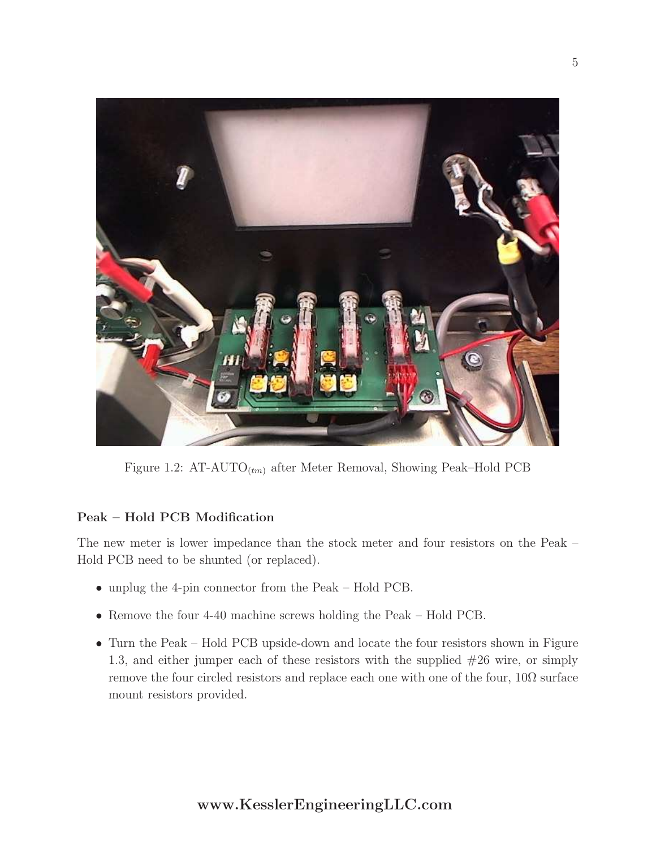

Figure 1.2:  $AT-AUTO_{(tm)}$  after Meter Removal, Showing Peak–Hold PCB

### Peak – Hold PCB Modification

The new meter is lower impedance than the stock meter and four resistors on the Peak – Hold PCB need to be shunted (or replaced).

- unplug the 4-pin connector from the Peak Hold PCB.
- Remove the four 4-40 machine screws holding the Peak Hold PCB.
- Turn the Peak Hold PCB upside-down and locate the four resistors shown in Figure 1.3, and either jumper each of these resistors with the supplied #26 wire, or simply remove the four circled resistors and replace each one with one of the four,  $10\Omega$  surface mount resistors provided.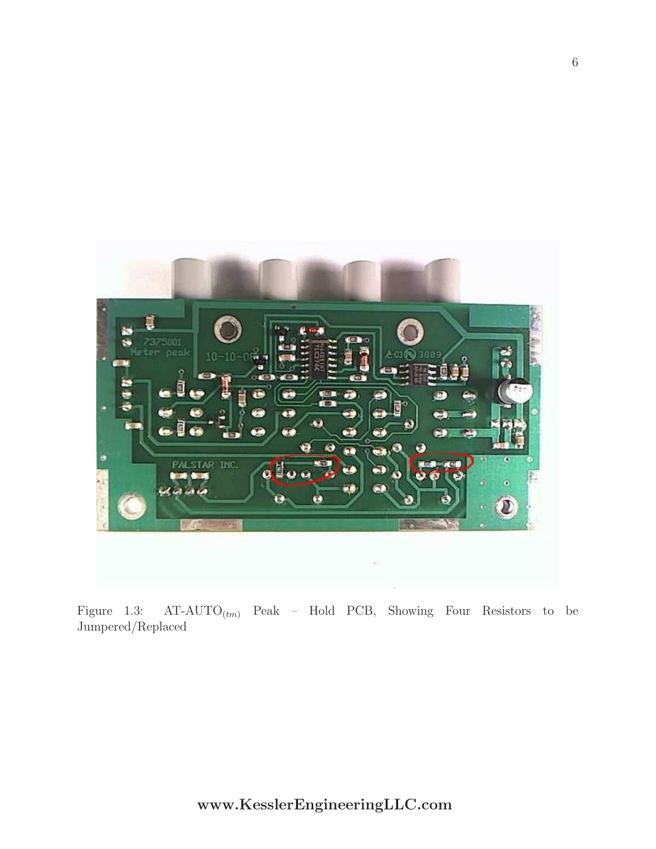

Figure 1.3:  $AT-AUTO_{(tm)}$  Peak – Hold PCB, Showing Four Resistors to be Jumpered/Replaced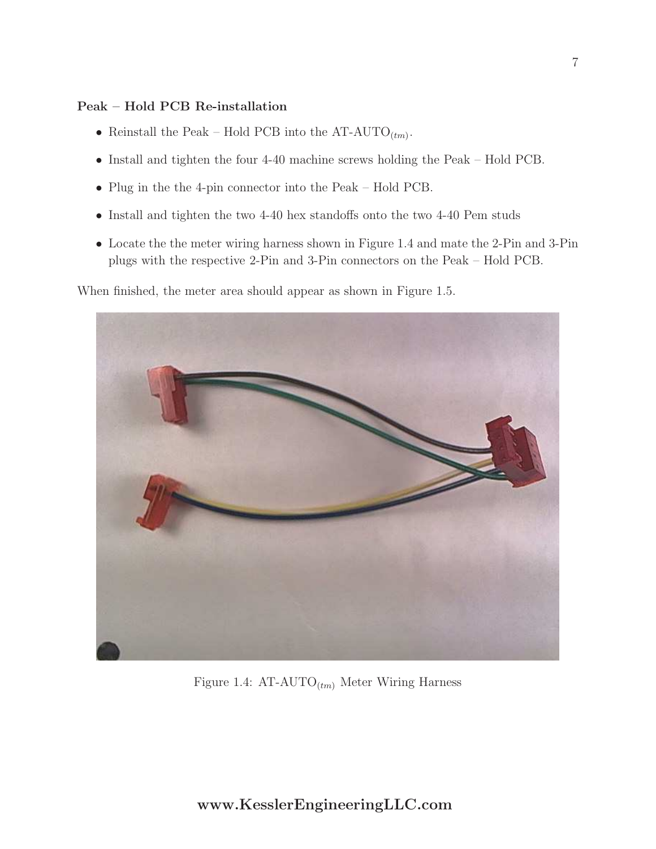#### Peak – Hold PCB Re-installation

- Reinstall the Peak Hold PCB into the  $AT-AUTO_{(tm)}$ .
- Install and tighten the four 4-40 machine screws holding the Peak Hold PCB.
- Plug in the the 4-pin connector into the Peak Hold PCB.
- Install and tighten the two 4-40 hex standoffs onto the two 4-40 Pem studs
- Locate the the meter wiring harness shown in Figure 1.4 and mate the 2-Pin and 3-Pin plugs with the respective 2-Pin and 3-Pin connectors on the Peak – Hold PCB.

When finished, the meter area should appear as shown in Figure 1.5.



Figure 1.4:  $AT-AUTO_{(tm)}$  Meter Wiring Harness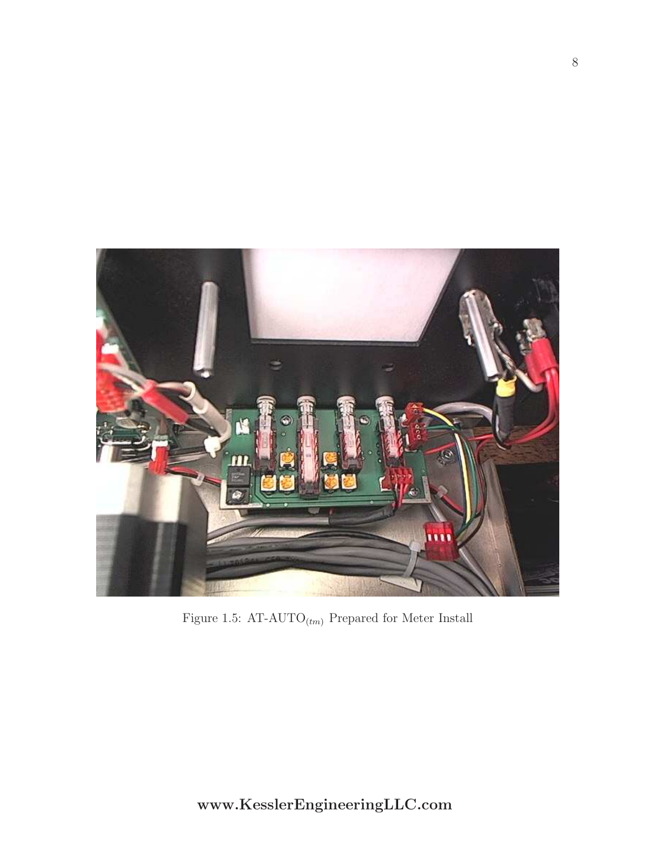

Figure 1.5: AT-AUTO $_{(tm)}$  Prepared for Meter Install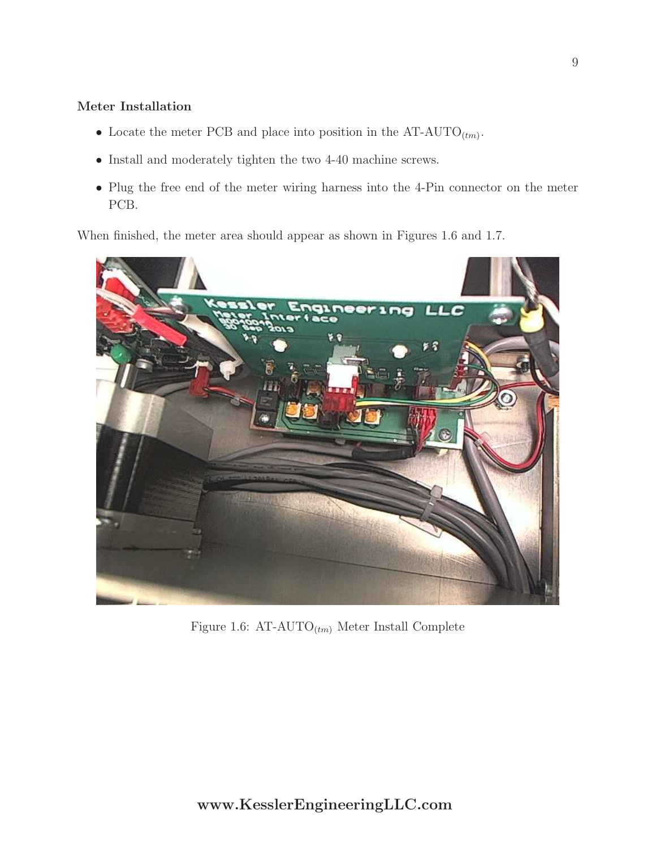#### Meter Installation

- Locate the meter PCB and place into position in the  $AT-AUTO_{(tm)}$ .
- Install and moderately tighten the two 4-40 machine screws.
- Plug the free end of the meter wiring harness into the 4-Pin connector on the meter PCB.

When finished, the meter area should appear as shown in Figures 1.6 and 1.7.



Figure 1.6:  $AT-AUTO_{(tm)}$  Meter Install Complete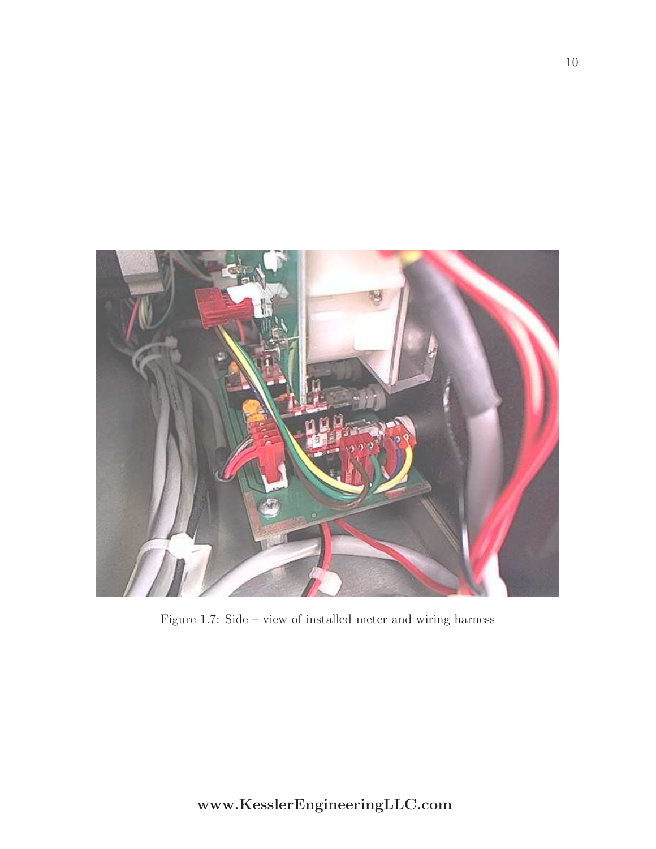

Figure 1.7: Side – view of installed meter and wiring harness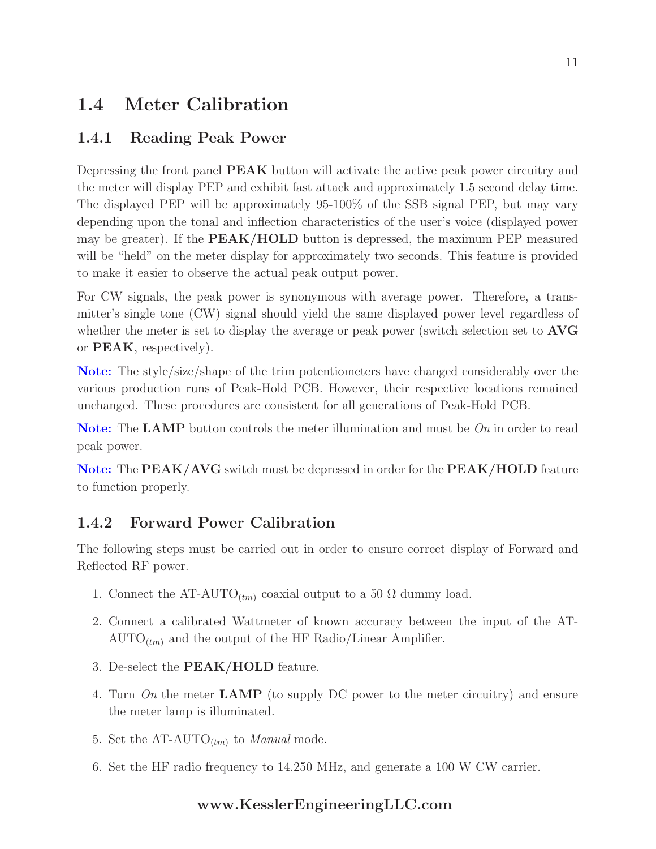## 1.4 Meter Calibration

### 1.4.1 Reading Peak Power

Depressing the front panel **PEAK** button will activate the active peak power circuitry and the meter will display PEP and exhibit fast attack and approximately 1.5 second delay time. The displayed PEP will be approximately 95-100% of the SSB signal PEP, but may vary depending upon the tonal and inflection characteristics of the user's voice (displayed power may be greater). If the **PEAK/HOLD** button is depressed, the maximum PEP measured will be "held" on the meter display for approximately two seconds. This feature is provided to make it easier to observe the actual peak output power.

For CW signals, the peak power is synonymous with average power. Therefore, a transmitter's single tone (CW) signal should yield the same displayed power level regardless of whether the meter is set to display the average or peak power (switch selection set to **AVG** or PEAK, respectively).

Note: The style/size/shape of the trim potentiometers have changed considerably over the various production runs of Peak-Hold PCB. However, their respective locations remained unchanged. These procedures are consistent for all generations of Peak-Hold PCB.

Note: The LAMP button controls the meter illumination and must be On in order to read peak power.

Note: The PEAK/AVG switch must be depressed in order for the PEAK/HOLD feature to function properly.

### 1.4.2 Forward Power Calibration

The following steps must be carried out in order to ensure correct display of Forward and Reflected RF power.

- 1. Connect the AT-AUTO<sub>(tm)</sub> coaxial output to a 50  $\Omega$  dummy load.
- 2. Connect a calibrated Wattmeter of known accuracy between the input of the AT- $\text{AUTO}_{(tm)}$  and the output of the HF Radio/Linear Amplifier.
- 3. De-select the PEAK/HOLD feature.
- 4. Turn On the meter  $\mathbf{LAMP}$  (to supply DC power to the meter circuitry) and ensure the meter lamp is illuminated.
- 5. Set the AT-AUTO<sub> $(tm)$ </sub> to *Manual* mode.
- 6. Set the HF radio frequency to 14.250 MHz, and generate a 100 W CW carrier.

### www.KesslerEngineeringLLC.com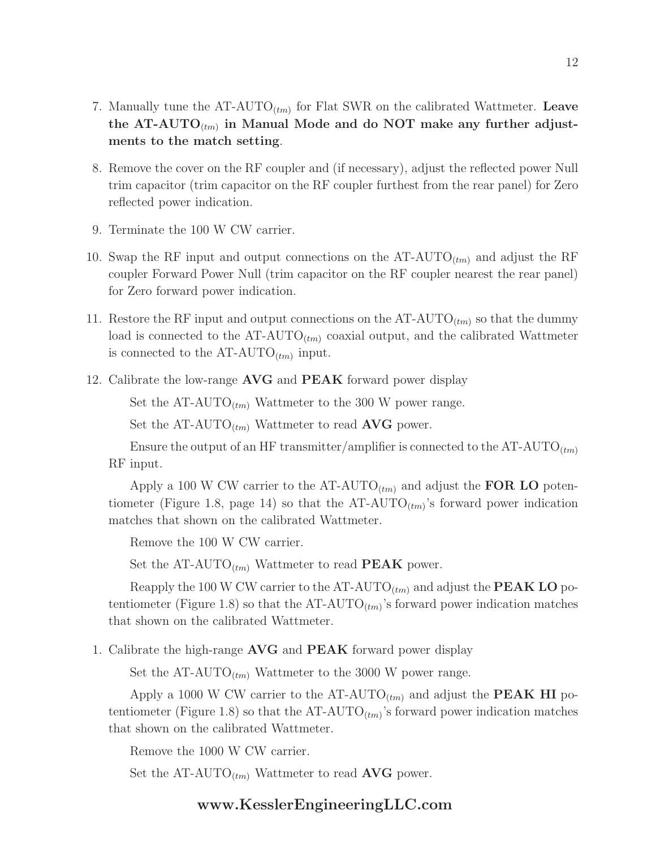- 7. Manually tune the  $AT-AUTO_{(tm)}$  for Flat SWR on the calibrated Wattmeter. Leave the AT-AUTO $_{\scriptscriptstyle (tm)}$  in Manual Mode and do NOT make any further adjustments to the match setting.
- 8. Remove the cover on the RF coupler and (if necessary), adjust the reflected power Null trim capacitor (trim capacitor on the RF coupler furthest from the rear panel) for Zero reflected power indication.
- 9. Terminate the 100 W CW carrier.
- 10. Swap the RF input and output connections on the  $AT-AUTO_{(tm)}$  and adjust the RF coupler Forward Power Null (trim capacitor on the RF coupler nearest the rear panel) for Zero forward power indication.
- 11. Restore the RF input and output connections on the  $AT-AUTO_{(tm)}$  so that the dummy load is connected to the  $AT-AUTO_{(tm)}$  coaxial output, and the calibrated Wattmeter is connected to the  $AT-AUTO_{(tm)}$  input.
- 12. Calibrate the low-range **AVG** and **PEAK** forward power display

Set the AT-AUTO<sub>(tm)</sub> Wattmeter to the 300 W power range.

Set the AT-AUTO<sub> $(tm)$ </sub> Wattmeter to read **AVG** power.

Ensure the output of an HF transmitter/amplifier is connected to the  $AT-AUTO_{(tm)}$ RF input.

Apply a 100 W CW carrier to the AT-AUTO<sub> $(tm)$ </sub> and adjust the FOR LO potentiometer (Figure 1.8, page 14) so that the  $AT-AUTO_{(tm)}$ 's forward power indication matches that shown on the calibrated Wattmeter.

Remove the 100 W CW carrier.

Set the  $AT-AUTO_{(tm)}$  Wattmeter to read **PEAK** power.

Reapply the 100 W CW carrier to the AT-AUTO<sub> $(t_m)$ </sub> and adjust the **PEAK LO** potentiometer (Figure 1.8) so that the  $AT-AUTO_{(tm)}$ 's forward power indication matches that shown on the calibrated Wattmeter.

1. Calibrate the high-range **AVG** and **PEAK** forward power display

Set the AT-AUTO<sub>(tm)</sub> Wattmeter to the 3000 W power range.

Apply a 1000 W CW carrier to the AT-AUTO<sub> $(tm)$ </sub> and adjust the **PEAK HI** potentiometer (Figure 1.8) so that the  $AT-AUTO_{(tm)}$ 's forward power indication matches that shown on the calibrated Wattmeter.

Remove the 1000 W CW carrier.

Set the AT-AUTO<sub> $(t_m)$ </sub> Wattmeter to read **AVG** power.

#### www.KesslerEngineeringLLC.com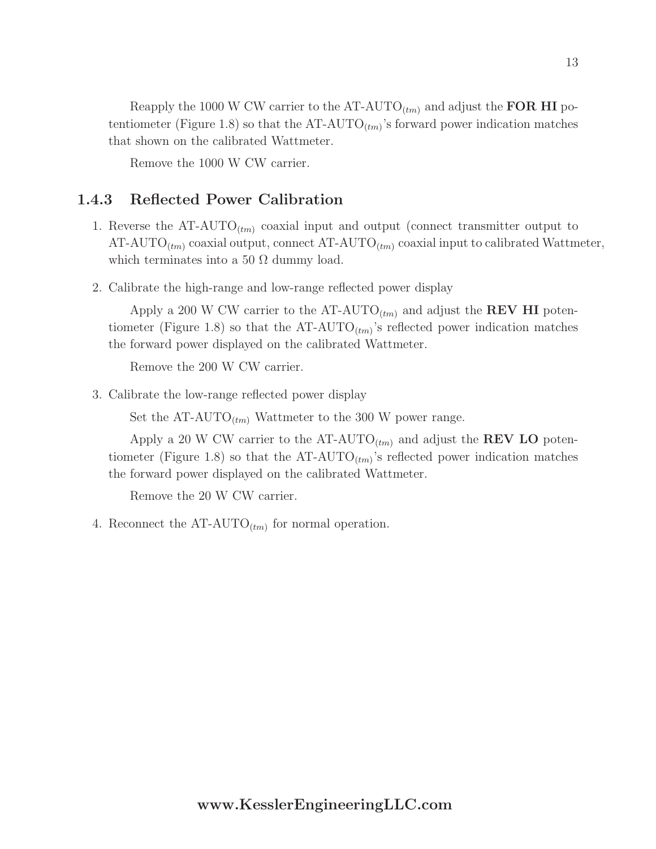Reapply the 1000 W CW carrier to the AT-AUTO<sub> $(tm)$ </sub> and adjust the **FOR HI** potentiometer (Figure 1.8) so that the  $AT-AUTO_{(tm)}$ 's forward power indication matches that shown on the calibrated Wattmeter.

Remove the 1000 W CW carrier.

### 1.4.3 Reflected Power Calibration

- 1. Reverse the  $AT-AUTO_{(tm)}$  coaxial input and output (connect transmitter output to AT-AUTO<sub>(tm)</sub> coaxial output, connect AT-AUTO<sub>(tm)</sub> coaxial input to calibrated Wattmeter, which terminates into a 50  $\Omega$  dummy load.
- 2. Calibrate the high-range and low-range reflected power display

Apply a 200 W CW carrier to the AT-AUTO<sub>(tm)</sub> and adjust the **REV HI** potentiometer (Figure 1.8) so that the  $AT-AUTO_{(tm)}$ 's reflected power indication matches the forward power displayed on the calibrated Wattmeter.

Remove the 200 W CW carrier.

3. Calibrate the low-range reflected power display

Set the  $AT-AUTO_{(tm)}$  Wattmeter to the 300 W power range.

Apply a 20 W CW carrier to the AT-AUTO<sub> $(tm)$ </sub> and adjust the **REV LO** potentiometer (Figure 1.8) so that the  $AT-AUTO_{(tm)}$ 's reflected power indication matches the forward power displayed on the calibrated Wattmeter.

Remove the 20 W CW carrier.

4. Reconnect the  $AT-AUTO_{(tm)}$  for normal operation.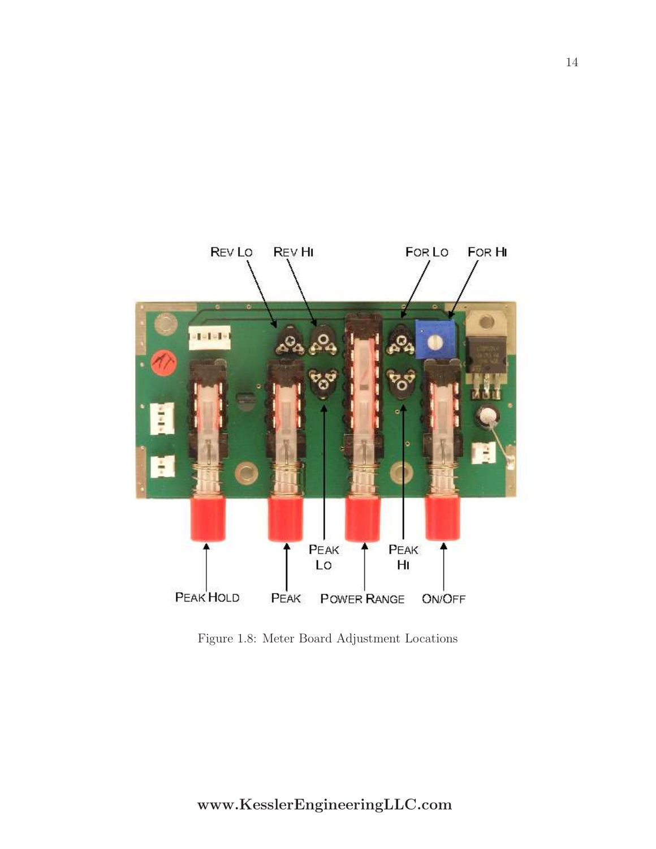

Figure 1.8: Meter Board Adjustment Locations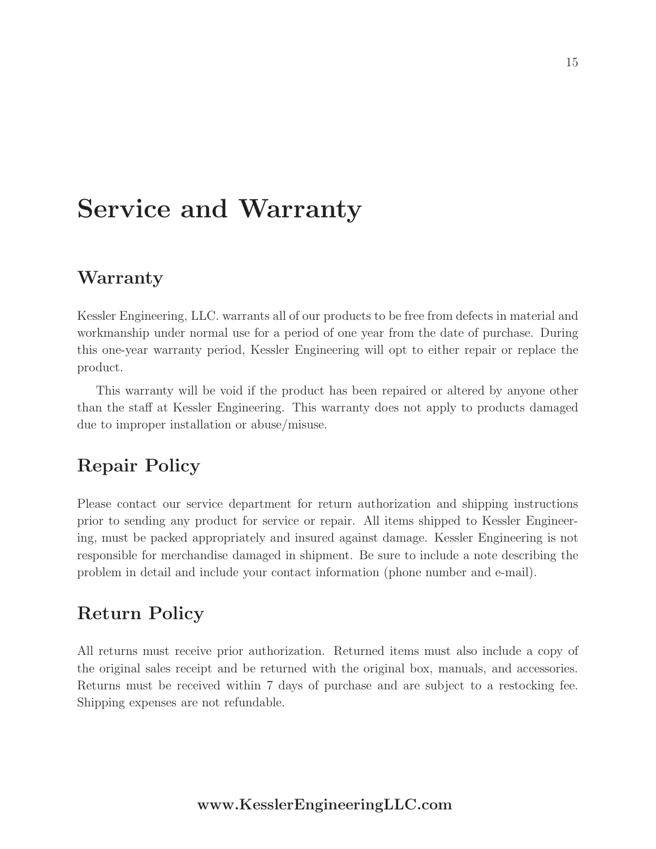# Service and Warranty

### Warranty

Kessler Engineering, LLC. warrants all of our products to be free from defects in material and workmanship under normal use for a period of one year from the date of purchase. During this one-year warranty period, Kessler Engineering will opt to either repair or replace the product.

This warranty will be void if the product has been repaired or altered by anyone other than the staff at Kessler Engineering. This warranty does not apply to products damaged due to improper installation or abuse/misuse.

## Repair Policy

Please contact our service department for return authorization and shipping instructions prior to sending any product for service or repair. All items shipped to Kessler Engineering, must be packed appropriately and insured against damage. Kessler Engineering is not responsible for merchandise damaged in shipment. Be sure to include a note describing the problem in detail and include your contact information (phone number and e-mail).

## Return Policy

All returns must receive prior authorization. Returned items must also include a copy of the original sales receipt and be returned with the original box, manuals, and accessories. Returns must be received within 7 days of purchase and are subject to a restocking fee. Shipping expenses are not refundable.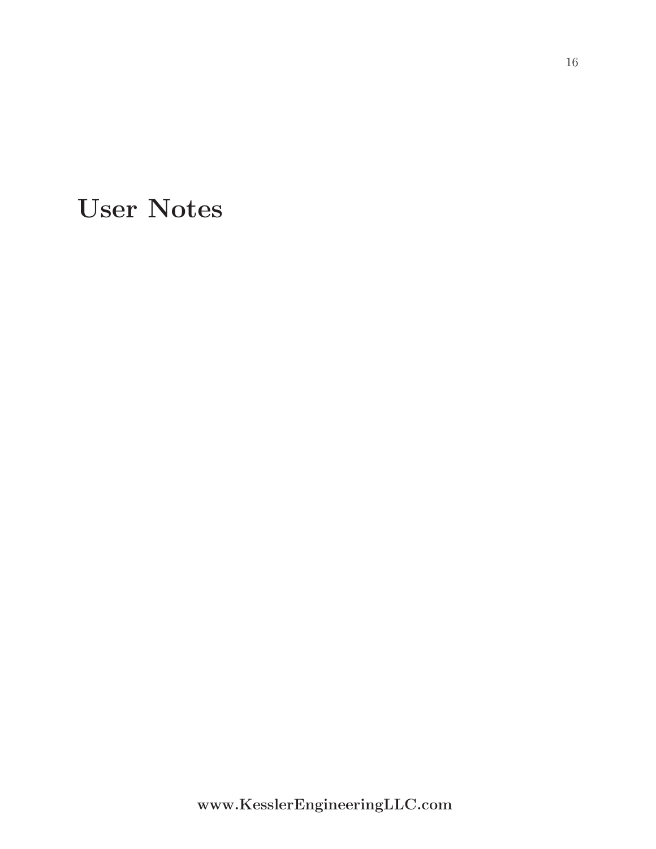User Notes